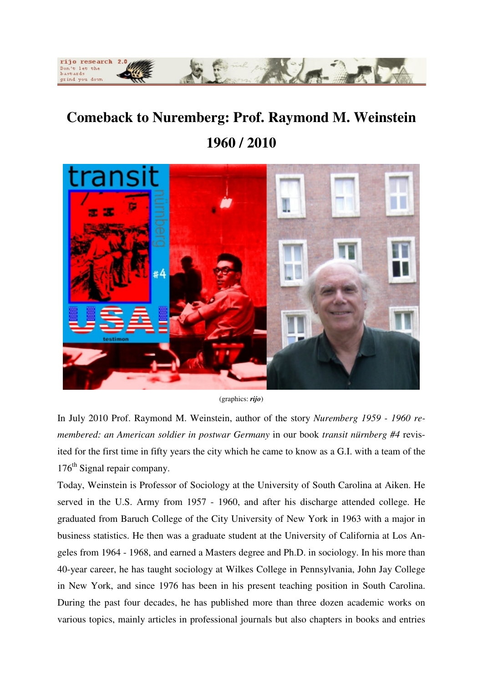

## **Comeback to Nuremberg: Prof. Raymond M. Weinstein 1960 / 2010**



(graphics: *rijo*)

In July 2010 Prof. Raymond M. Weinstein, author of the story *Nuremberg 1959 - 1960 remembered: an American soldier in postwar Germany* in our book *transit nürnberg #4* revisited for the first time in fifty years the city which he came to know as a G.I. with a team of the  $176<sup>th</sup>$  Signal repair company.

Today, Weinstein is Professor of Sociology at the University of South Carolina at Aiken. He served in the U.S. Army from 1957 - 1960, and after his discharge attended college. He graduated from Baruch College of the City University of New York in 1963 with a major in business statistics. He then was a graduate student at the University of California at Los Angeles from 1964 - 1968, and earned a Masters degree and Ph.D. in sociology. In his more than 40-year career, he has taught sociology at Wilkes College in Pennsylvania, John Jay College in New York, and since 1976 has been in his present teaching position in South Carolina. During the past four decades, he has published more than three dozen academic works on various topics, mainly articles in professional journals but also chapters in books and entries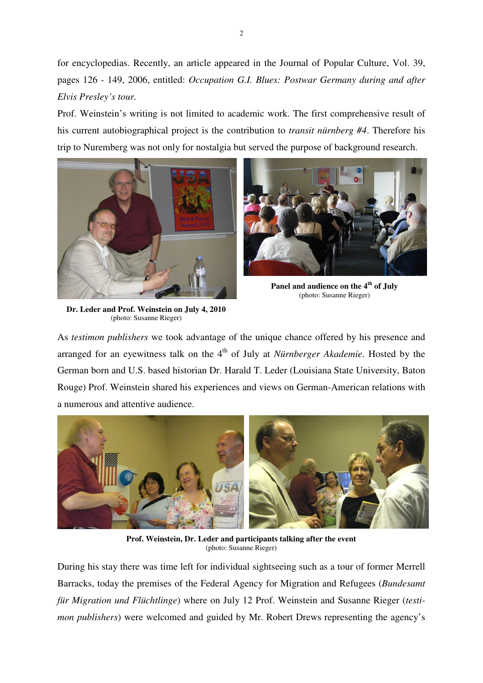for encyclopedias. Recently, an article appeared in the Journal of Popular Culture, Vol. 39, pages 126 - 149, 2006, entitled: *Occupation G.I. Blues: Postwar Germany during and after Elvis Presley's tour.*

Prof. Weinstein's writing is not limited to academic work. The first comprehensive result of his current autobiographical project is the contribution to *transit nürnberg #4*. Therefore his trip to Nuremberg was not only for nostalgia but served the purpose of background research.





**Panel and audience on the 4th of July**  (photo: Susanne Rieger)

**Dr. Leder and Prof. Weinstein on July 4, 2010**  (photo: Susanne Rieger)

As *testimon publishers* we took advantage of the unique chance offered by his presence and arranged for an eyewitness talk on the 4<sup>th</sup> of July at *Nürnberger Akademie*. Hosted by the German born and U.S. based historian Dr. Harald T. Leder (Louisiana State University, Baton Rouge) Prof. Weinstein shared his experiences and views on German-American relations with a numerous and attentive audience.



**Prof. Weinstein, Dr. Leder and participants talking after the event**  (photo: Susanne Rieger)

During his stay there was time left for individual sightseeing such as a tour of former Merrell Barracks, today the premises of the Federal Agency for Migration and Refugees (*Bundesamt für Migration und Flüchtlinge*) where on July 12 Prof. Weinstein and Susanne Rieger (*testimon publishers*) were welcomed and guided by Mr. Robert Drews representing the agency's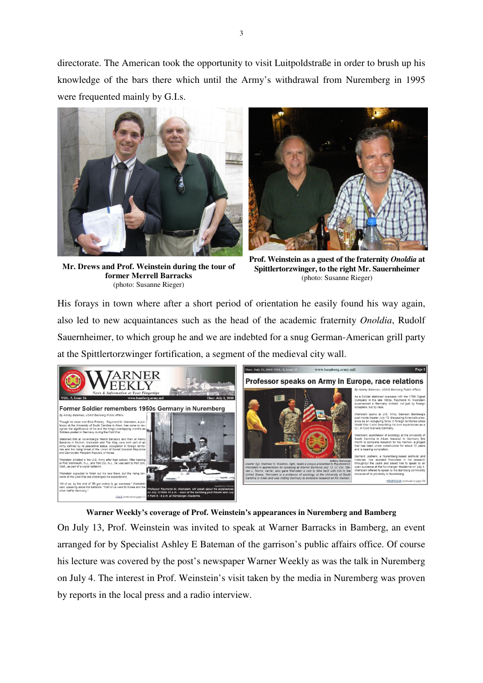directorate. The American took the opportunity to visit Luitpoldstraße in order to brush up his knowledge of the bars there which until the Army's withdrawal from Nuremberg in 1995 were frequented mainly by G.I.s.





**Mr. Drews and Prof. Weinstein during the tour of former Merrell Barracks**  (photo: Susanne Rieger)

**Prof. Weinstein as a guest of the fraternity** *Onoldia* **at Spittlertorzwinger, to the right Mr. Sauernheimer**  (photo: Susanne Rieger)

His forays in town where after a short period of orientation he easily found his way again, also led to new acquaintances such as the head of the academic fraternity *Onoldia*, Rudolf Sauernheimer, to which group he and we are indebted for a snug German-American grill party at the Spittlertorzwinger fortification, a segment of the medieval city wall.





On July 13, Prof. Weinstein was invited to speak at Warner Barracks in Bamberg, an event arranged for by Specialist Ashley E Bateman of the garrison's public affairs office. Of course his lecture was covered by the post's newspaper Warner Weekly as was the talk in Nuremberg on July 4. The interest in Prof. Weinstein's visit taken by the media in Nuremberg was proven by reports in the local press and a radio interview.